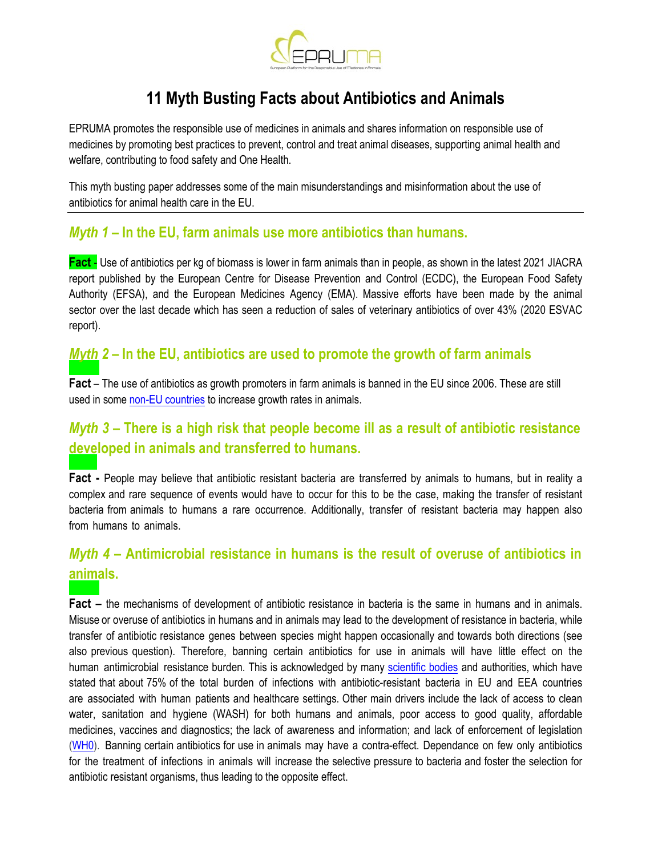

# **11 Myth Busting Facts about Antibiotics and Animals**

EPRUMA promotes the responsible use of medicines in animals and shares information on responsible use of medicines by promoting best practices to prevent, control and treat animal diseases, supporting animal health and welfare, contributing to food safety and One Health.

This myth busting paper addresses some of the main misunderstandings and misinformation about the use of antibiotics for animal health care in the EU.

#### *Myth 1* **– In the EU, farm animals use more antibiotics than humans.**

**Fact** - Use of antibiotics per kg of biomass is lower in farm animals than in people, as shown in the latest 2021 JIACRA report published by the European Centre for Disease Prevention and Control (ECDC), the European Food Safety Authority (EFSA), and the European Medicines Agency (EMA). Massive efforts have been made by the animal sector over the last decade which has seen a reduction of sales of veterinary antibiotics of over 43% (2020 ESVAC report).

#### *Myth 2* **– In the EU, antibiotics are used to promote the growth of farm animals**

**Fact** – [The use of](https://www.oie.int/app/uploads/2021/03/annual-report-amr-3.pdf) antibiotics as growth promoters in farm animals is banned in the EU since 2006. These are still used in some non-EU countries to increase growth rates in animals.

# *Myth 3* **– There is a high risk that people become ill as a result of antibiotic resistance developed in animals and transferred to humans.**

**Fact -** People may believe that antibiotic resistant bacteria are transferred by animals to humans, but in reality a complex and rare sequence of events would have to occur for this to be the case, making the transfer of resistant bacteria from animals to humans a rare occurrence. Additionally, transfer of resistant bacteria may happen also from humans to animals.

# *Myth 4* **– Antimicrobial resistance in humans is the result of overuse of antibiotics in animals.**

**Fact –** the mechanisms of development of antibiotic resistance in bacteria is the same in humans and in animals. Misuse or overuse of antibiotics in humans and in animals may lead to the development of resistance in bacteria, while transfer of antibiotic resistance genes between species might happen occasionally and towards both directions (see also previous question). Therefore, banning certain antibiotics for use in animals will have little effect on the human antimicrobial resistance burden. This is acknowledged by many [scientific bodies](https://www.thelancet.com/journals/laninf/article/PIIS1473-3099(18)30605-4/fulltext) and authorities, which have stated that about 75% of the total burden of infections with antibiotic-resistant bacteria in EU and EEA countries are associated with human patients and healthcare settings. Other main drivers include the lack of access to clean water, sanitation and hygiene (WASH) for both humans and animals, poor access to good quality, affordable medicines, vaccines and diagnostics; the lack of awareness and information; and lack of enforcement of legislation [\(WH0\).](https://www.who.int/news-room/fact-sheets/detail/antimicrobial-resistance) Banning certain antibiotics for use in animals may have a contra-effect. Dependance on few only antibiotics for the treatment of infections in animals will increase the selective pressure to bacteria and foster the selection for antibiotic resistant organisms, thus leading to the opposite effect.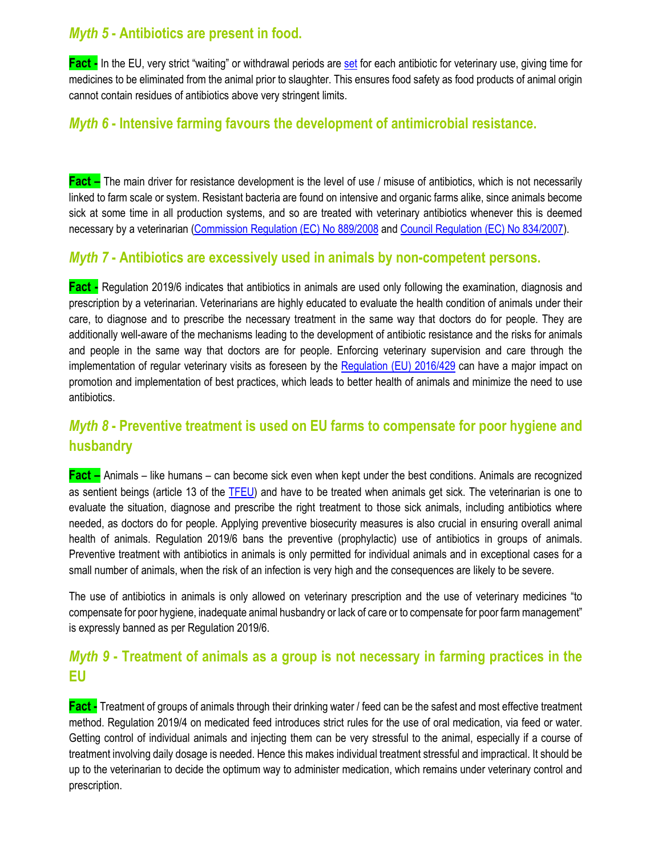#### *Myth 5* **- Antibiotics are present in food.**

**Fact -** In the EU, very strict "waiting" or withdrawal periods are [set](https://www.ema.europa.eu/en/veterinary-regulatory/research-development/maximum-residue-limits-mrl) for each antibiotic for veterinary use, giving time for medicines to be eliminated from the animal prior to slaughter. This ensures food safety as food products of animal origin cannot contain residues of antibiotics above very stringent limits.

## *Myth 6* **- Intensive farming favours the development of antimicrobial resistance.**

**Fact** – The main driver for resistance development is the level of use / misuse of antibiotics, which is not necessarily linked to farm scale or system. Resistant bacteria are found on intensive and organic farms alike, since animals become sick at some time in all production systems, and so are treated with veterinary antibiotics whenever this is deemed necessary by a veterinarian [\(Commission Regulation \(EC\) No 889/2008](https://eur-lex.europa.eu/legal-content/EN/TXT/PDF/?uri=CELEX:32008R0889&from=EN) and [Council Regulation \(EC\) No 834/2007\)](https://eur-lex.europa.eu/legal-content/EN/TXT/PDF/?uri=CELEX:32007R0834&from=EN).

#### *Myth 7* **- Antibiotics are excessively used in animals by non-competent persons.**

**Fact -** Regulation 2019/6 indicates that antibiotics in animals are used only following the examination, diagnosis and prescription by a veterinarian. Veterinarians are highly educated to evaluate the health condition of animals under their care, to diagnose and to prescribe the necessary treatment in the same way that doctors do for people. They are additionally well-aware of the mechanisms leading to the development of antibiotic resistance and the risks for animals and people in the same way that doctors are for people. Enforcing veterinary supervision and care through the implementation of regular veterinary visits as foreseen by the [Regulation \(EU\) 2016/429](https://eur-lex.europa.eu/legal-content/EN/TXT/?uri=CELEX:02016R0429-20191214) can have a major impact on promotion and implementation of best practices, which leads to better health of animals and minimize the need to use antibiotics.

# *Myth 8* **- Preventive treatment is used on EU farms to compensate for poor hygiene and husbandry**

**Fact –** Animals – like humans – can become sick even when kept under the best conditions. Animals are recognized as sentient beings (article 13 of the TFEU) and have to be treated when animals get sick. The veterinarian is one to evaluate the situation, diagnose and prescribe the right treatment to those sick animals, including antibiotics where needed, as doctors do for people. Applying preventive biosecurity measures is also crucial in ensuring overall animal health of animals. Regulation 2019/6 bans the preventive (prophylactic) use of antibiotics in groups of animals. Preventive treatment with antibiotics in animals is only permitted for individual animals and in exceptional cases for a small number of animals, when the risk of an infection is very high and the consequences are likely to be severe.

The use of antibiotics in animals is only allowed on veterinary prescription and the use of veterinary medicines "to compensate for poor hygiene, inadequate animal husbandry or lack of care or to compensate for poor farm management" is expressly banned as per Regulation 2019/6.

## *Myth 9* **- Treatment of animals as a group is not necessary in farming practices in the EU**

**Fact -** Treatment of groups of animals through their drinking water / feed can be the safest and most effective treatment method. Regulation 2019/4 on medicated feed introduces strict rules for the use of oral medication, via feed or water. Getting control of individual animals and injecting them can be very stressful to the animal, especially if a course of treatment involving daily dosage is needed. Hence this makes individual treatment stressful and impractical. It should be up to the veterinarian to decide the optimum way to administer medication, which remains under veterinary control and prescription.